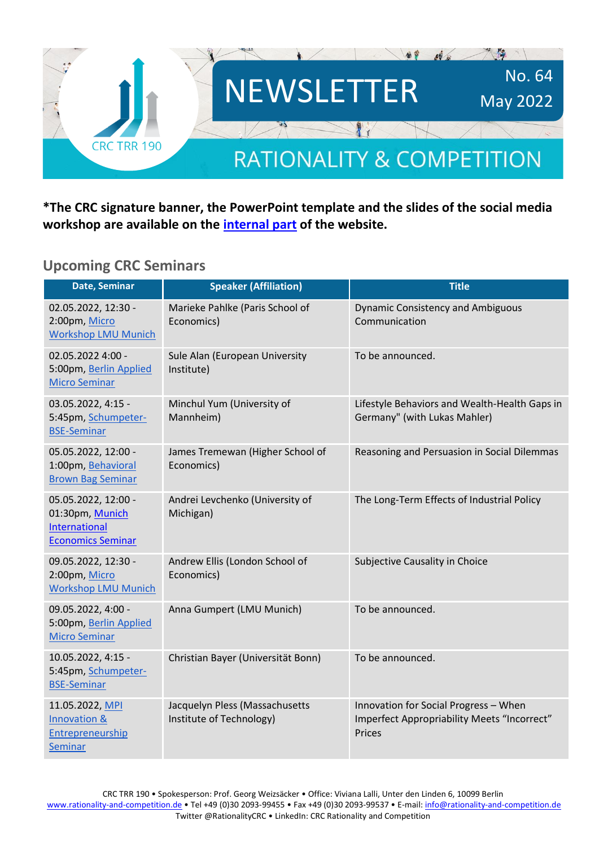

**\*The CRC signature banner, the PowerPoint template and the slides of the social media workshop are available on the [internal part](https://rationality-and-competition.de/internal/) of the website.** 

#### **Upcoming CRC Seminars**

| Date, Seminar                                                                       | <b>Speaker (Affiliation)</b>                               | <b>Title</b>                                                                                   |
|-------------------------------------------------------------------------------------|------------------------------------------------------------|------------------------------------------------------------------------------------------------|
| 02.05.2022, 12:30 -<br>2:00pm, Micro<br><b>Workshop LMU Munich</b>                  | Marieke Pahlke (Paris School of<br>Economics)              | <b>Dynamic Consistency and Ambiguous</b><br>Communication                                      |
| 02.05.2022 4:00 -<br>5:00pm, Berlin Applied<br><b>Micro Seminar</b>                 | Sule Alan (European University<br>Institute)               | To be announced.                                                                               |
| 03.05.2022, 4:15 -<br>5:45pm, Schumpeter-<br><b>BSE-Seminar</b>                     | Minchul Yum (University of<br>Mannheim)                    | Lifestyle Behaviors and Wealth-Health Gaps in<br>Germany" (with Lukas Mahler)                  |
| 05.05.2022, 12:00 -<br>1:00pm, Behavioral<br><b>Brown Bag Seminar</b>               | James Tremewan (Higher School of<br>Economics)             | Reasoning and Persuasion in Social Dilemmas                                                    |
| 05.05.2022, 12:00 -<br>01:30pm, Munich<br>International<br><b>Economics Seminar</b> | Andrei Levchenko (University of<br>Michigan)               | The Long-Term Effects of Industrial Policy                                                     |
| 09.05.2022, 12:30 -<br>2:00pm, Micro<br><b>Workshop LMU Munich</b>                  | Andrew Ellis (London School of<br>Economics)               | Subjective Causality in Choice                                                                 |
| 09.05.2022, 4:00 -<br>5:00pm, Berlin Applied<br><b>Micro Seminar</b>                | Anna Gumpert (LMU Munich)                                  | To be announced.                                                                               |
| 10.05.2022, 4:15 -<br>5:45pm, Schumpeter-<br><b>BSE-Seminar</b>                     | Christian Bayer (Universität Bonn)                         | To be announced.                                                                               |
| 11.05.2022, MPI<br>Innovation &<br>Entrepreneurship<br><b>Seminar</b>               | Jacquelyn Pless (Massachusetts<br>Institute of Technology) | Innovation for Social Progress - When<br>Imperfect Appropriability Meets "Incorrect"<br>Prices |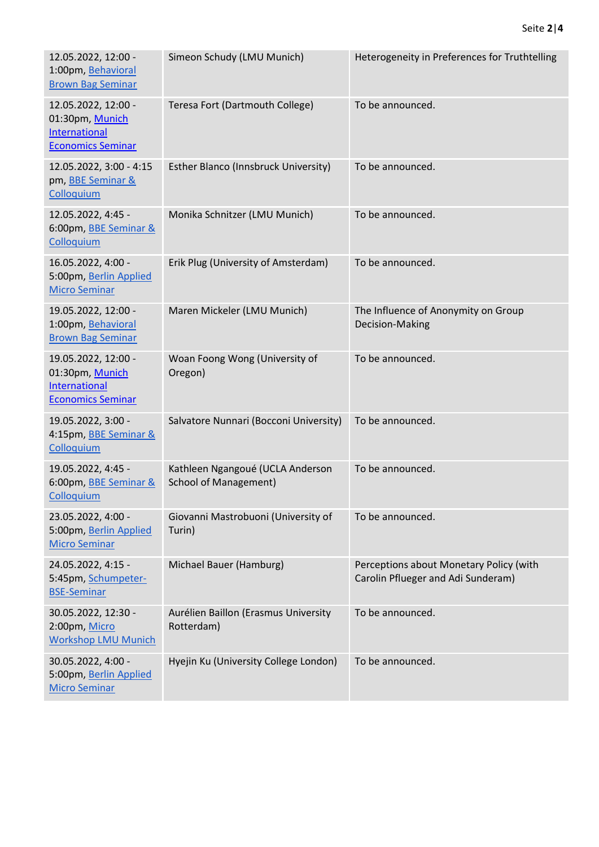| 12.05.2022, 12:00 -<br>1:00pm, Behavioral<br><b>Brown Bag Seminar</b>                      | Simeon Schudy (LMU Munich)                                       | Heterogeneity in Preferences for Truthtelling                                 |
|--------------------------------------------------------------------------------------------|------------------------------------------------------------------|-------------------------------------------------------------------------------|
| 12.05.2022, 12:00 -<br>01:30pm, Munich<br><b>International</b><br><b>Economics Seminar</b> | Teresa Fort (Dartmouth College)                                  | To be announced.                                                              |
| 12.05.2022, 3:00 - 4:15<br>pm, <b>BBE</b> Seminar &<br>Colloquium                          | Esther Blanco (Innsbruck University)                             | To be announced.                                                              |
| 12.05.2022, 4:45 -<br>6:00pm, BBE Seminar &<br>Colloquium                                  | Monika Schnitzer (LMU Munich)                                    | To be announced.                                                              |
| 16.05.2022, 4:00 -<br>5:00pm, Berlin Applied<br><b>Micro Seminar</b>                       | Erik Plug (University of Amsterdam)                              | To be announced.                                                              |
| 19.05.2022, 12:00 -<br>1:00pm, Behavioral<br><b>Brown Bag Seminar</b>                      | Maren Mickeler (LMU Munich)                                      | The Influence of Anonymity on Group<br>Decision-Making                        |
| 19.05.2022, 12:00 -<br>01:30pm, Munich<br><b>International</b><br><b>Economics Seminar</b> | Woan Foong Wong (University of<br>Oregon)                        | To be announced.                                                              |
| 19.05.2022, 3:00 -<br>4:15pm, BBE Seminar &<br>Colloquium                                  | Salvatore Nunnari (Bocconi University)                           | To be announced.                                                              |
| 19.05.2022, 4:45 -<br>6:00pm, BBE Seminar &<br>Colloquium                                  | Kathleen Ngangoué (UCLA Anderson<br><b>School of Management)</b> | To be announced.                                                              |
| 23.05.2022, 4:00 -<br>5:00pm, Berlin Applied<br><b>Micro Seminar</b>                       | Giovanni Mastrobuoni (University of<br>Turin)                    | To be announced.                                                              |
| 24.05.2022, 4:15 -<br>5:45pm, Schumpeter-<br><b>BSE-Seminar</b>                            | Michael Bauer (Hamburg)                                          | Perceptions about Monetary Policy (with<br>Carolin Pflueger and Adi Sunderam) |
| 30.05.2022, 12:30 -<br>2:00pm, Micro<br><b>Workshop LMU Munich</b>                         | Aurélien Baillon (Erasmus University<br>Rotterdam)               | To be announced.                                                              |
| 30.05.2022, 4:00 -<br>5:00pm, Berlin Applied<br><b>Micro Seminar</b>                       | Hyejin Ku (University College London)                            | To be announced.                                                              |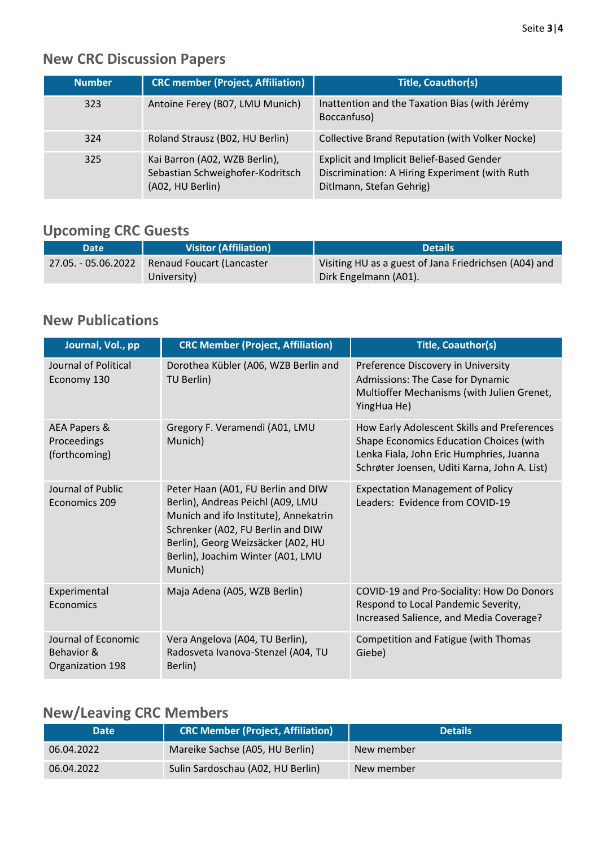# **New CRC Discussion Papers**

| Number | <b>CRC member (Project, Affiliation)</b>                                              | <b>Title, Coauthor(s)</b>                                                                                                      |
|--------|---------------------------------------------------------------------------------------|--------------------------------------------------------------------------------------------------------------------------------|
| 323    | Antoine Ferey (B07, LMU Munich)                                                       | Inattention and the Taxation Bias (with Jérémy<br>Boccanfuso)                                                                  |
| 324    | Roland Strausz (B02, HU Berlin)                                                       | Collective Brand Reputation (with Volker Nocke)                                                                                |
| 325    | Kai Barron (A02, WZB Berlin),<br>Sebastian Schweighofer-Kodritsch<br>(A02, HU Berlin) | <b>Explicit and Implicit Belief-Based Gender</b><br>Discrimination: A Hiring Experiment (with Ruth<br>Ditlmann, Stefan Gehrig) |

## **Upcoming CRC Guests**

| <b>Date</b>         | <b>Visitor (Affiliation)</b>             | <b>Details</b>                                                                 |
|---------------------|------------------------------------------|--------------------------------------------------------------------------------|
| 27.05. - 05.06.2022 | Renaud Foucart (Lancaster<br>University) | Visiting HU as a guest of Jana Friedrichsen (A04) and<br>Dirk Engelmann (A01). |

#### **New Publications**

| Journal, Vol., pp                                     | <b>CRC Member (Project, Affiliation)</b>                                                                                                                                                                                                    | <b>Title, Coauthor(s)</b>                                                                                                                                                          |
|-------------------------------------------------------|---------------------------------------------------------------------------------------------------------------------------------------------------------------------------------------------------------------------------------------------|------------------------------------------------------------------------------------------------------------------------------------------------------------------------------------|
| Journal of Political<br>Economy 130                   | Dorothea Kübler (A06, WZB Berlin and<br>TU Berlin)                                                                                                                                                                                          | Preference Discovery in University<br>Admissions: The Case for Dynamic<br>Multioffer Mechanisms (with Julien Grenet,<br>YingHua He)                                                |
| AEA Papers &<br>Proceedings<br>(forthcoming)          | Gregory F. Veramendi (A01, LMU<br>Munich)                                                                                                                                                                                                   | How Early Adolescent Skills and Preferences<br>Shape Economics Education Choices (with<br>Lenka Fiala, John Eric Humphries, Juanna<br>Schrøter Joensen, Uditi Karna, John A. List) |
| Journal of Public<br>Economics 209                    | Peter Haan (A01, FU Berlin and DIW<br>Berlin), Andreas Peichl (A09, LMU<br>Munich and ifo Institute), Annekatrin<br>Schrenker (A02, FU Berlin and DIW<br>Berlin), Georg Weizsäcker (A02, HU<br>Berlin), Joachim Winter (A01, LMU<br>Munich) | <b>Expectation Management of Policy</b><br>Leaders: Evidence from COVID-19                                                                                                         |
| Experimental<br>Economics                             | Maja Adena (A05, WZB Berlin)                                                                                                                                                                                                                | COVID-19 and Pro-Sociality: How Do Donors<br>Respond to Local Pandemic Severity,<br>Increased Salience, and Media Coverage?                                                        |
| Journal of Economic<br>Behavior &<br>Organization 198 | Vera Angelova (A04, TU Berlin),<br>Radosveta Ivanova-Stenzel (A04, TU<br>Berlin)                                                                                                                                                            | Competition and Fatigue (with Thomas<br>Giebe)                                                                                                                                     |

### **New/Leaving CRC Members**

| <b>Date</b> | <b>CRC Member (Project, Affiliation)</b> | <b>Details</b> |
|-------------|------------------------------------------|----------------|
| 06.04.2022  | Mareike Sachse (A05, HU Berlin)          | New member     |
| 06.04.2022  | Sulin Sardoschau (A02, HU Berlin)        | New member     |